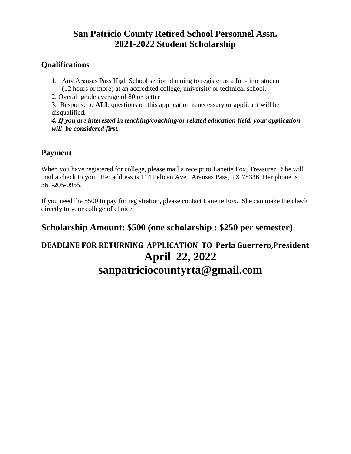## **San Patricio County Retired School Personnel Assn. 2021-2022 Student Scholarship**

#### **Qualifications**

- 1. Any Aransas Pass High School senior planning to register as a full-time student (12 hours or more) at an accredited college, university or technical school.
- 2. Overall grade average of 80 or better
- 3. Response to **ALL** questions on this application is necessary or applicant will be disqualified.

*4. If you are interested in teaching/coaching/or related education field, your application will be considered first.*

#### **Payment**

When you have registered for college, please mail a receipt to Lanette Fox, Treasurer. She will mail a check to you. Her address is 114 Pelican Ave., Aransas Pass, TX 78336. Her phone is 361-205-0955.

If you need the \$500 to pay for registration, please contact Lanette Fox. She can make the check directly to your college of choice.

### **Scholarship Amount: \$500 (one scholarship : \$250 per semester)**

# **DEADLINE FOR RETURNING APPLICATION TO Perla Guerrero,President April 22, 2022 sanpatriciocountyrta@gmail.com**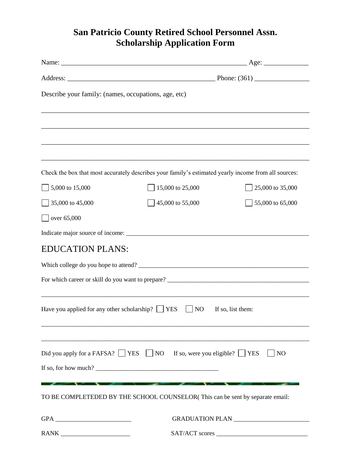## **San Patricio County Retired School Personnel Assn. Scholarship Application Form**

| Describe your family: (names, occupations, age, etc)   |                                                                                                                                                                                                                                                                                                              |                   |
|--------------------------------------------------------|--------------------------------------------------------------------------------------------------------------------------------------------------------------------------------------------------------------------------------------------------------------------------------------------------------------|-------------------|
|                                                        |                                                                                                                                                                                                                                                                                                              |                   |
|                                                        |                                                                                                                                                                                                                                                                                                              |                   |
|                                                        | ,我们也不能在这里的时候,我们也不能在这里的时候,我们也不能会在这里的时候,我们也不能会在这里的时候,我们也不能会在这里的时候,我们也不能会在这里的时候,我们也不                                                                                                                                                                                                                            |                   |
|                                                        |                                                                                                                                                                                                                                                                                                              |                   |
|                                                        | Check the box that most accurately describes your family's estimated yearly income from all sources:                                                                                                                                                                                                         |                   |
| 5,000 to 15,000                                        | 15,000 to 25,000                                                                                                                                                                                                                                                                                             | 25,000 to 35,000  |
| 35,000 to 45,000                                       | 45,000 to 55,000                                                                                                                                                                                                                                                                                             | 55,000 to 65,000  |
| over 65,000                                            |                                                                                                                                                                                                                                                                                                              |                   |
|                                                        |                                                                                                                                                                                                                                                                                                              |                   |
| <b>EDUCATION PLANS:</b>                                |                                                                                                                                                                                                                                                                                                              |                   |
|                                                        |                                                                                                                                                                                                                                                                                                              |                   |
|                                                        |                                                                                                                                                                                                                                                                                                              |                   |
|                                                        |                                                                                                                                                                                                                                                                                                              |                   |
| Have you applied for any other scholarship? $\Box$ YES | N <sub>O</sub>                                                                                                                                                                                                                                                                                               | If so, list them: |
|                                                        |                                                                                                                                                                                                                                                                                                              |                   |
|                                                        |                                                                                                                                                                                                                                                                                                              |                   |
|                                                        | Did you apply for a FAFSA? $\Box$ YES $\Box$ NO If so, were you eligible? $\Box$ YES                                                                                                                                                                                                                         | NO                |
|                                                        | If so, for how much? $\frac{1}{2}$ $\frac{1}{2}$ $\frac{1}{2}$ $\frac{1}{2}$ $\frac{1}{2}$ $\frac{1}{2}$ $\frac{1}{2}$ $\frac{1}{2}$ $\frac{1}{2}$ $\frac{1}{2}$ $\frac{1}{2}$ $\frac{1}{2}$ $\frac{1}{2}$ $\frac{1}{2}$ $\frac{1}{2}$ $\frac{1}{2}$ $\frac{1}{2}$ $\frac{1}{2}$ $\frac{1}{2}$ $\frac{1}{2}$ |                   |
|                                                        | TO BE COMPLETEDED BY THE SCHOOL COUNSELOR(This can be sent by separate email:                                                                                                                                                                                                                                |                   |
|                                                        |                                                                                                                                                                                                                                                                                                              |                   |
|                                                        |                                                                                                                                                                                                                                                                                                              | GRADUATION PLAN   |
|                                                        |                                                                                                                                                                                                                                                                                                              | SAT/ACT scores    |